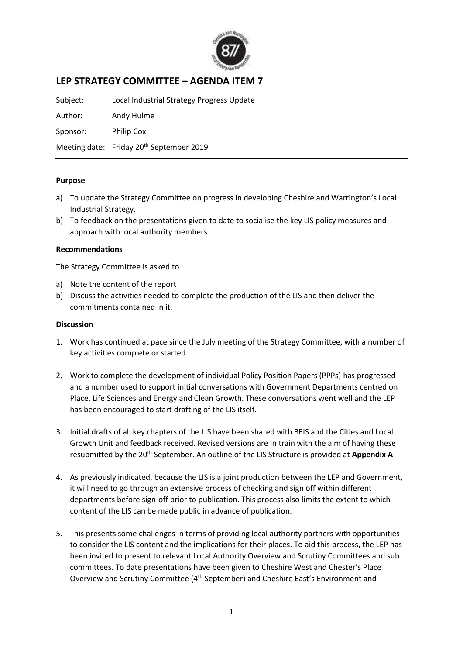

# **LEP STRATEGY COMMITTEE – AGENDA ITEM 7**

Subject: Local Industrial Strategy Progress Update

Author: Andy Hulme

Sponsor: Philip Cox

Meeting date: Friday 20<sup>th</sup> September 2019

### **Purpose**

- a) To update the Strategy Committee on progress in developing Cheshire and Warrington's Local Industrial Strategy.
- b) To feedback on the presentations given to date to socialise the key LIS policy measures and approach with local authority members

#### **Recommendations**

The Strategy Committee is asked to

- a) Note the content of the report
- b) Discuss the activities needed to complete the production of the LIS and then deliver the commitments contained in it.

#### **Discussion**

- 1. Work has continued at pace since the July meeting of the Strategy Committee, with a number of key activities complete or started.
- 2. Work to complete the development of individual Policy Position Papers (PPPs) has progressed and a number used to support initial conversations with Government Departments centred on Place, Life Sciences and Energy and Clean Growth. These conversations went well and the LEP has been encouraged to start drafting of the LIS itself.
- 3. Initial drafts of all key chapters of the LIS have been shared with BEIS and the Cities and Local Growth Unit and feedback received. Revised versions are in train with the aim of having these resubmitted by the 20<sup>th</sup> September. An outline of the LIS Structure is provided at Appendix A.
- 4. As previously indicated, because the LIS is a joint production between the LEP and Government, it will need to go through an extensive process of checking and sign off within different departments before sign-off prior to publication. This process also limits the extent to which content of the LIS can be made public in advance of publication.
- 5. This presents some challenges in terms of providing local authority partners with opportunities to consider the LIS content and the implications for their places. To aid this process, the LEP has been invited to present to relevant Local Authority Overview and Scrutiny Committees and sub committees. To date presentations have been given to Cheshire West and Chester's Place Overview and Scrutiny Committee (4<sup>th</sup> September) and Cheshire East's Environment and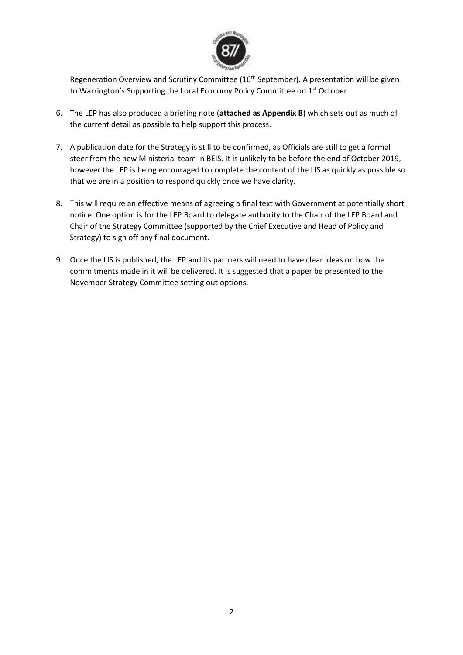

Regeneration Overview and Scrutiny Committee (16<sup>th</sup> September). A presentation will be given to Warrington's Supporting the Local Economy Policy Committee on 1<sup>st</sup> October.

- 6. The LEP has also produced a briefing note (**attached as Appendix B**) which sets out as much of the current detail as possible to help support this process.
- 7. A publication date for the Strategy is still to be confirmed, as Officials are still to get a formal steer from the new Ministerial team in BEIS. It is unlikely to be before the end of October 2019, however the LEP is being encouraged to complete the content of the LIS as quickly as possible so that we are in a position to respond quickly once we have clarity.
- 8. This will require an effective means of agreeing a final text with Government at potentially short notice. One option is for the LEP Board to delegate authority to the Chair of the LEP Board and Chair of the Strategy Committee (supported by the Chief Executive and Head of Policy and Strategy) to sign off any final document.
- 9. Once the LIS is published, the LEP and its partners will need to have clear ideas on how the commitments made in it will be delivered. It is suggested that a paper be presented to the November Strategy Committee setting out options.